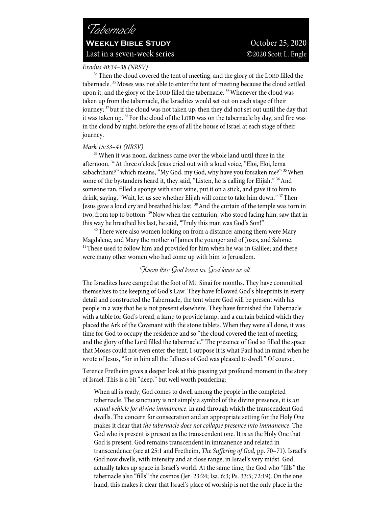## *Exodus 40:34–38 (NRSV)*

<sup>34</sup>Then the cloud covered the tent of meeting, and the glory of the LORD filled the tabernacle.<sup>35</sup> Moses was not able to enter the tent of meeting because the cloud settled upon it, and the glory of the LORD filled the tabernacle. <sup>36</sup> Whenever the cloud was taken up from the tabernacle, the Israelites would set out on each stage of their journey; 37 but if the cloud was not taken up, then they did not set out until the day that it was taken up. 38 For the cloud of the LORD was on the tabernacle by day, and fire was in the cloud by night, before the eyes of all the house of Israel at each stage of their journey.

### *Mark 15:33–41 (NRSV)*

<sup>33</sup> When it was noon, darkness came over the whole land until three in the afternoon. 34At three o'clock Jesus cried out with a loud voice, "Eloi, Eloi, lema sabachthani?" which means, "My God, my God, why have you forsaken me?" <sup>35</sup> When some of the bystanders heard it, they said, "Listen, he is calling for Elijah." <sup>36</sup> And someone ran, filled a sponge with sour wine, put it on a stick, and gave it to him to drink, saying, "Wait, let us see whether Elijah will come to take him down." 37 Then Jesus gave a loud cry and breathed his last.<sup>38</sup> And the curtain of the temple was torn in two, from top to bottom. <sup>39</sup>Now when the centurion, who stood facing him, saw that in this way he breathed his last, he said, "Truly this man was God's Son!"<br><sup>40</sup>There were also women looking on from a distance; among them were Mary

Magdalene, and Mary the mother of James the younger and of Joses, and Salome.<br><sup>41</sup>These used to follow him and provided for him when he was in Galilee; and there were many other women who had come up with him to Jerusalem.

## *Know this: God loves us. God loves us all.*

The Israelites have camped at the foot of Mt. Sinai for months. They have committed themselves to the keeping of God's Law. They have followed God's blueprints in every detail and constructed the Tabernacle, the tent where God will be present with his people in a way that he is not present elsewhere. They have furnished the Tabernacle with a table for God's bread, a lamp to provide lamp, and a curtain behind which they placed the Ark of the Covenant with the stone tablets. When they were all done, it was time for God to occupy the residence and so "the cloud covered the tent of meeting, and the glory of the Lord filled the tabernacle." The presence of God so filled the space that Moses could not even enter the tent. I suppose it is what Paul had in mind when he wrote of Jesus, "for in him all the fullness of God was pleased to dwell." Of course.

Terence Fretheim gives a deeper look at this passing yet profound moment in the story of Israel. This is a bit "deep," but well worth pondering:

When all is ready, God comes to dwell among the people in the completed tabernacle. The sanctuary is not simply a symbol of the divine presence, it is *an actual vehicle for divine immanence,* in and through which the transcendent God dwells. The concern for consecration and an appropriate setting for the Holy One makes it clear that *the tabernacle does not collapse presence into immanence*. The God who is present is present as the transcendent one. It is *as* the Holy One that God is present. God remains transcendent in immanence and related in transcendence (see at 25:1 and Fretheim, *The Suffering of God,* pp. 70–71). Israel's God now dwells, with intensity and at close range, in Israel's very midst. God actually takes up space in Israel's world. At the same time, the God who "fills" the tabernacle also "fills" the cosmos (Jer. 23:24; Isa. 6:3; Ps. 33:5; 72:19). On the one hand, this makes it clear that Israel's place of worship is not the only place in the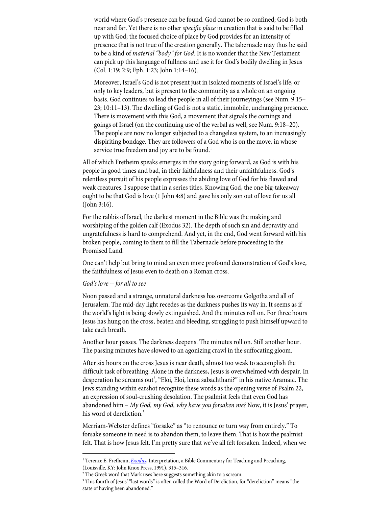world where God's presence can be found. God cannot be so confined; God is both near and far. Yet there is no other *specific place* in creation that is said to be filled up with God; the focused choice of place by God provides for an intensity of presence that is not true of the creation generally. The tabernacle may thus be said to be a kind of *material "body" for God*. It is no wonder that the New Testament can pick up this language of fullness and use it for God's bodily dwelling in Jesus (Col. 1:19; 2:9; Eph. 1:23; John 1:14–16).

Moreover, Israel's God is not present just in isolated moments of Israel's life, or only to key leaders, but is present to the community as a whole on an ongoing basis. God continues to lead the people in all of their journeyings (see Num. 9:15– 23; 10:11–13). The dwelling of God is not a static, immobile, unchanging presence. There is movement with this God, a movement that signals the comings and goings of Israel (on the continuing use of the verbal as well, see Num. 9:18–20). The people are now no longer subjected to a changeless system, to an increasingly dispiriting bondage. They are followers of a God who is on the move, in whose service true freedom and joy are to be found.<sup>1</sup>

All of which Fretheim speaks emerges in the story going forward, as God is with his people in good times and bad, in their faithfulness and their unfaithfulness. God's relentless pursuit of his people expresses the abiding love of God for his flawed and weak creatures. I suppose that in a series titles, Knowing God, the one big-takeaway ought to be that God is love (1 John 4:8) and gave his only son out of love for us all (John 3:16).

For the rabbis of Israel, the darkest moment in the Bible was the making and worshiping of the golden calf (Exodus 32). The depth of such sin and depravity and ungratefulness is hard to comprehend. And yet, in the end, God went forward with his broken people, coming to them to fill the Tabernacle before proceeding to the Promised Land.

One can't help but bring to mind an even more profound demonstration of God's love, the faithfulness of Jesus even to death on a Roman cross.

### *God's love -- for all to see*

Noon passed and a strange, unnatural darkness has overcome Golgotha and all of Jerusalem. The mid-day light recedes as the darkness pushes its way in. It seems as if the world's light is being slowly extinguished. And the minutes roll on. For three hours Jesus has hung on the cross, beaten and bleeding, struggling to push himself upward to take each breath.

Another hour passes. The darkness deepens. The minutes roll on. Still another hour. The passing minutes have slowed to an agonizing crawl in the suffocating gloom.

After six hours on the cross Jesus is near death, almost too weak to accomplish the difficult task of breathing. Alone in the darkness, Jesus is overwhelmed with despair. In desperation he screams out<sup>2</sup>, "Eloi, Eloi, lema sabachthani?" in his native Aramaic. The Jews standing within earshot recognize these words as the opening verse of Psalm 22, an expression of soul-crushing desolation. The psalmist feels that even God has abandoned him – *My God, my God, why have you forsaken me?* Now, it is Jesus' prayer, his word of dereliction.<sup>3</sup>

Merriam-Webster defines "forsake" as "to renounce or turn way from entirely." To forsake someone in need is to abandon them, to leave them. That is how the psalmist felt. That is how Jesus felt. I'm pretty sure that we've all felt forsaken. Indeed, when we

<sup>&</sup>lt;sup>1</sup> Terence E. Fretheim, *Exodus*, Interpretation, a Bible Commentary for Teaching and Preaching, (Louisville, KY: John Knox Press, 1991), 315–316.

<sup>&</sup>lt;sup>2</sup> The Greek word that Mark uses here suggests something akin to a scream.

<sup>&</sup>lt;sup>3</sup> This fourth of Jesus' "last words" is often called the Word of Dereliction, for "dereliction" means "the state of having been abandoned."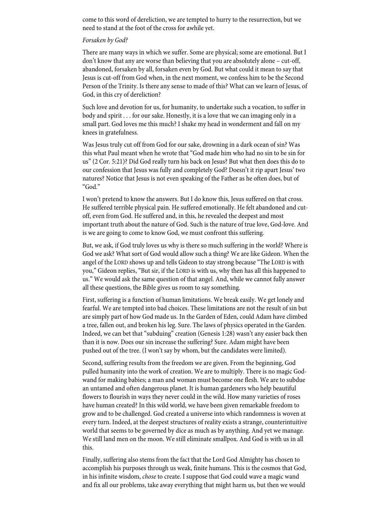come to this word of dereliction, we are tempted to hurry to the resurrection, but we need to stand at the foot of the cross for awhile yet.

### *Forsaken by God?*

There are many ways in which we suffer. Some are physical; some are emotional. But I don't know that any are worse than believing that you are absolutely alone – cut-off, abandoned, forsaken by all, forsaken even by God. But what could it mean to say that Jesus is cut-off from God when, in the next moment, we confess him to be the Second Person of the Trinity. Is there any sense to made of this? What can we learn of Jesus, of God, in this cry of dereliction?

Such love and devotion for us, for humanity, to undertake such a vocation, to suffer in body and spirit . . . for our sake. Honestly, it is a love that we can imaging only in a small part. God loves me this much? I shake my head in wonderment and fall on my knees in gratefulness.

Was Jesus truly cut off from God for our sake, drowning in a dark ocean of sin? Was this what Paul meant when he wrote that "God made him who had no sin to be sin for us" (2 Cor. 5:21)? Did God really turn his back on Jesus? But what then does this do to our confession that Jesus was fully and completely God? Doesn't it rip apart Jesus' two natures? Notice that Jesus is not even speaking of the Father as he often does, but of "God."

I won't pretend to know the answers. But I do know this, Jesus suffered on that cross. He suffered terrible physical pain. He suffered emotionally. He felt abandoned and cutoff, even from God. He suffered and, in this, he revealed the deepest and most important truth about the nature of God. Such is the nature of true love, God-love. And is we are going to come to know God, we must confront this suffering.

But, we ask, if God truly loves us why is there so much suffering in the world? Where is God we ask? What sort of God would allow such a thing? We are like Gideon. When the angel of the LORD shows up and tells Gideon to stay strong because "The LORD is with you," Gideon replies, "But sir, if the LORD is with us, why then has all this happened to us." We would ask the same question of that angel. And, while we cannot fully answer all these questions, the Bible gives us room to say something.

First, suffering is a function of human limitations. We break easily. We get lonely and fearful. We are tempted into bad choices. These limitations are not the result of sin but are simply part of how God made us. In the Garden of Eden, could Adam have climbed a tree, fallen out, and broken his leg. Sure. The laws of physics operated in the Garden. Indeed, we can bet that "subduing" creation (Genesis 1:28) wasn't any easier back then than it is now. Does our sin increase the suffering? Sure. Adam might have been pushed out of the tree. (I won't say by whom, but the candidates were limited).

Second, suffering results from the freedom we are given. From the beginning, God pulled humanity into the work of creation. We are to multiply. There is no magic Godwand for making babies; a man and woman must become one flesh. We are to subdue an untamed and often dangerous planet. It is human gardeners who help beautiful flowers to flourish in ways they never could in the wild. How many varieties of roses have human created? In this wild world, we have been given remarkable freedom to grow and to be challenged. God created a universe into which randomness is woven at every turn. Indeed, at the deepest structures of reality exists a strange, counterintuitive world that seems to be governed by dice as much as by anything. And yet we manage. We still land men on the moon. We still eliminate smallpox. And God is with us in all this.

Finally, suffering also stems from the fact that the Lord God Almighty has chosen to accomplish his purposes through us weak, finite humans. This is the cosmos that God, in his infinite wisdom, *chose* to create. I suppose that God could wave a magic wand and fix all our problems, take away everything that might harm us, but then we would